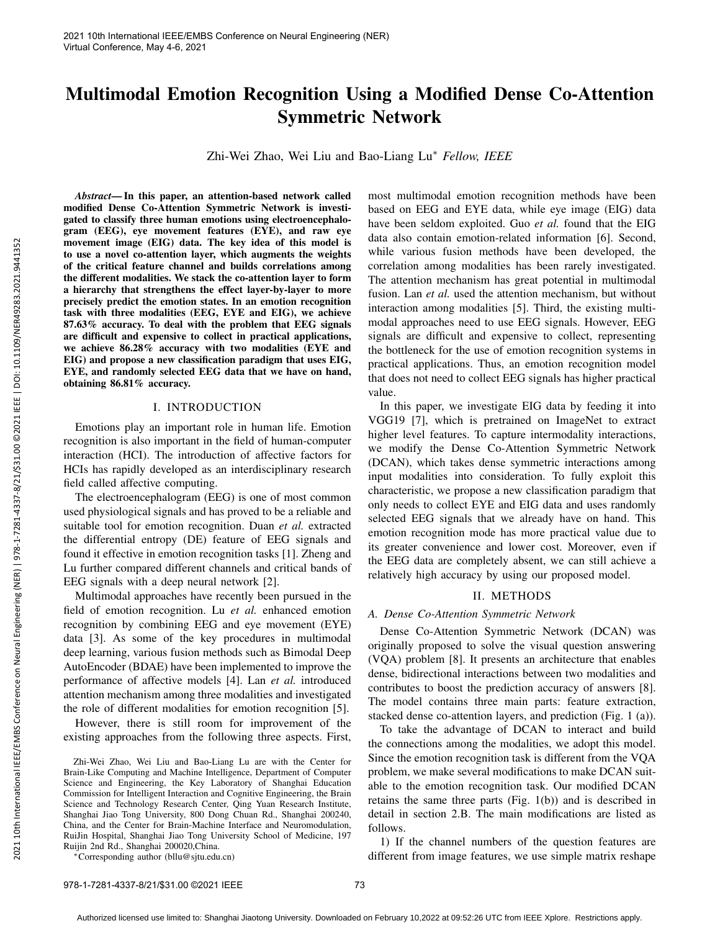# Multimodal Emotion Recognition Using a Modified Dense Co-Attention Symmetric Network

Zhi-Wei Zhao, Wei Liu and Bao-Liang Lu<sup>∗</sup> *Fellow, IEEE*

*Abstract*— In this paper, an attention-based network called modified Dense Co-Attention Symmetric Network is investigated to classify three human emotions using electroencephalogram (EEG), eye movement features (EYE), and raw eye movement image (EIG) data. The key idea of this model is to use a novel co-attention layer, which augments the weights of the critical feature channel and builds correlations among the different modalities. We stack the co-attention layer to form a hierarchy that strengthens the effect layer-by-layer to more precisely predict the emotion states. In an emotion recognition task with three modalities (EEG, EYE and EIG), we achieve 87.63% accuracy. To deal with the problem that EEG signals are difficult and expensive to collect in practical applications, we achieve 86.28% accuracy with two modalities (EYE and EIG) and propose a new classification paradigm that uses EIG, EYE, and randomly selected EEG data that we have on hand, obtaining 86.81% accuracy.

# I. INTRODUCTION

Emotions play an important role in human life. Emotion recognition is also important in the field of human-computer interaction (HCI). The introduction of affective factors for HCIs has rapidly developed as an interdisciplinary research field called affective computing.

The electroencephalogram (EEG) is one of most common used physiological signals and has proved to be a reliable and suitable tool for emotion recognition. Duan *et al.* extracted the differential entropy (DE) feature of EEG signals and found it effective in emotion recognition tasks [1]. Zheng and Lu further compared different channels and critical bands of EEG signals with a deep neural network [2].

Multimodal approaches have recently been pursued in the field of emotion recognition. Lu *et al.* enhanced emotion recognition by combining EEG and eye movement (EYE) data [3]. As some of the key procedures in multimodal deep learning, various fusion methods such as Bimodal Deep AutoEncoder (BDAE) have been implemented to improve the performance of affective models [4]. Lan *et al.* introduced attention mechanism among three modalities and investigated the role of different modalities for emotion recognition [5].

However, there is still room for improvement of the existing approaches from the following three aspects. First,

Zhi-Wei Zhao, Wei Liu and Bao-Liang Lu are with the Center for Brain-Like Computing and Machine Intelligence, Department of Computer Science and Engineering, the Key Laboratory of Shanghai Education Commission for Intelligent Interaction and Cognitive Engineering, the Brain Science and Technology Research Center, Qing Yuan Research Institute, Shanghai Jiao Tong University, 800 Dong Chuan Rd., Shanghai 200240, China, and the Center for Brain-Machine Interface and Neuromodulation, RuiJin Hospital, Shanghai Jiao Tong University School of Medicine, 197 Ruijin 2nd Rd., Shanghai 200020,China.

<sup>∗</sup>Corresponding author (bllu@sjtu.edu.cn)

most multimodal emotion recognition methods have been based on EEG and EYE data, while eye image (EIG) data have been seldom exploited. Guo *et al.* found that the EIG data also contain emotion-related information [6]. Second, while various fusion methods have been developed, the correlation among modalities has been rarely investigated. The attention mechanism has great potential in multimodal fusion. Lan *et al.* used the attention mechanism, but without interaction among modalities [5]. Third, the existing multimodal approaches need to use EEG signals. However, EEG signals are difficult and expensive to collect, representing the bottleneck for the use of emotion recognition systems in practical applications. Thus, an emotion recognition model that does not need to collect EEG signals has higher practical value.

In this paper, we investigate EIG data by feeding it into VGG19 [7], which is pretrained on ImageNet to extract higher level features. To capture intermodality interactions, we modify the Dense Co-Attention Symmetric Network (DCAN), which takes dense symmetric interactions among input modalities into consideration. To fully exploit this characteristic, we propose a new classification paradigm that only needs to collect EYE and EIG data and uses randomly selected EEG signals that we already have on hand. This emotion recognition mode has more practical value due to its greater convenience and lower cost. Moreover, even if the EEG data are completely absent, we can still achieve a relatively high accuracy by using our proposed model.

#### II. METHODS

### *A. Dense Co-Attention Symmetric Network*

Dense Co-Attention Symmetric Network (DCAN) was originally proposed to solve the visual question answering (VQA) problem [8]. It presents an architecture that enables dense, bidirectional interactions between two modalities and contributes to boost the prediction accuracy of answers [8]. The model contains three main parts: feature extraction, stacked dense co-attention layers, and prediction (Fig. 1 (a)).

To take the advantage of DCAN to interact and build the connections among the modalities, we adopt this model. Since the emotion recognition task is different from the VQA problem, we make several modifications to make DCAN suitable to the emotion recognition task. Our modified DCAN retains the same three parts (Fig. 1(b)) and is described in detail in section 2.B. The main modifications are listed as follows.

1) If the channel numbers of the question features are different from image features, we use simple matrix reshape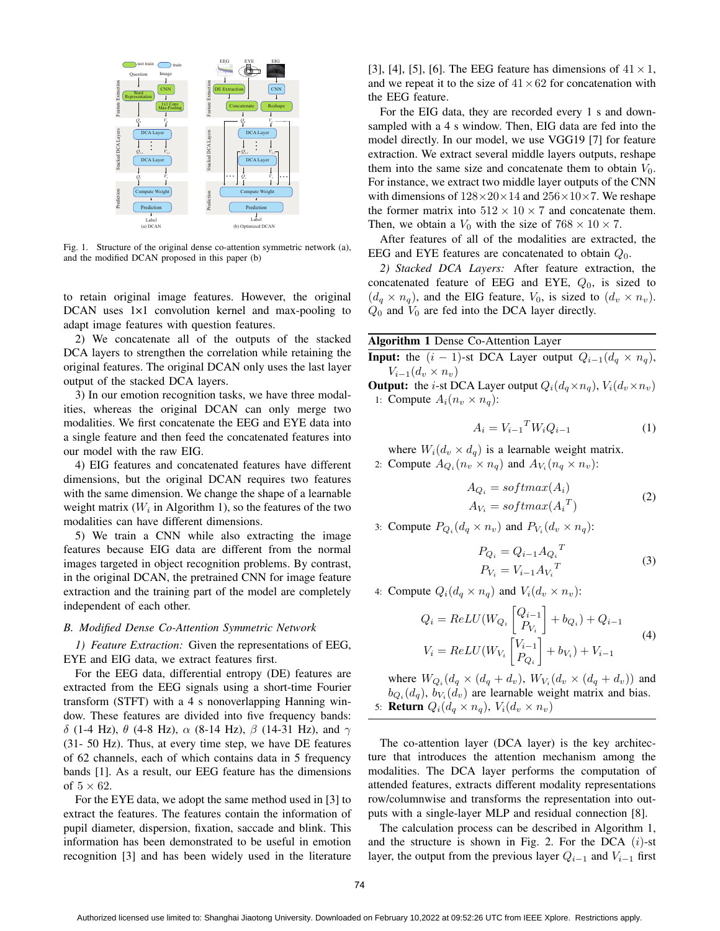

Fig. 1. Structure of the original dense co-attention symmetric network (a), and the modified DCAN proposed in this paper (b)

to retain original image features. However, the original DCAN uses 1×1 convolution kernel and max-pooling to adapt image features with question features.

2) We concatenate all of the outputs of the stacked DCA layers to strengthen the correlation while retaining the original features. The original DCAN only uses the last layer output of the stacked DCA layers.

3) In our emotion recognition tasks, we have three modalities, whereas the original DCAN can only merge two modalities. We first concatenate the EEG and EYE data into a single feature and then feed the concatenated features into our model with the raw EIG.

4) EIG features and concatenated features have different dimensions, but the original DCAN requires two features with the same dimension. We change the shape of a learnable weight matrix ( $W_i$  in Algorithm 1), so the features of the two modalities can have different dimensions.

5) We train a CNN while also extracting the image features because EIG data are different from the normal images targeted in object recognition problems. By contrast, in the original DCAN, the pretrained CNN for image feature extraction and the training part of the model are completely independent of each other.

## *B. Modified Dense Co-Attention Symmetric Network*

*1) Feature Extraction:* Given the representations of EEG, EYE and EIG data, we extract features first.

For the EEG data, differential entropy (DE) features are extracted from the EEG signals using a short-time Fourier transform (STFT) with a 4 s nonoverlapping Hanning window. These features are divided into five frequency bands: δ (1-4 Hz), θ (4-8 Hz),  $\alpha$  (8-14 Hz),  $\beta$  (14-31 Hz), and  $\gamma$ (31- 50 Hz). Thus, at every time step, we have DE features of 62 channels, each of which contains data in 5 frequency bands [1]. As a result, our EEG feature has the dimensions of  $5 \times 62$ .

For the EYE data, we adopt the same method used in [3] to extract the features. The features contain the information of pupil diameter, dispersion, fixation, saccade and blink. This information has been demonstrated to be useful in emotion recognition [3] and has been widely used in the literature [3], [4], [5], [6]. The EEG feature has dimensions of  $41 \times 1$ , and we repeat it to the size of  $41 \times 62$  for concatenation with the EEG feature.

 $\frac{1}{3}$   $\frac{1}{3}$   $\frac{1}{1}$   $\frac{1}{1}$  model directly. In our model, we use VGG19 [7] for feature  $\frac{16}{11}$  . The standard Form instance, we extract two middle layer outputs of the CNN For the EIG data, they are recorded every 1 s and downsampled with a 4 s window. Then, EIG data are fed into the extraction. We extract several middle layers outputs, reshape them into the same size and concatenate them to obtain  $V_0$ . with dimensions of  $128 \times 20 \times 14$  and  $256 \times 10 \times 7$ . We reshape the former matrix into  $512 \times 10 \times 7$  and concatenate them. Then, we obtain a  $V_0$  with the size of  $768 \times 10 \times 7$ .

> After features of all of the modalities are extracted, the EEG and EYE features are concatenated to obtain  $Q_0$ .

> *2) Stacked DCA Layers:* After feature extraction, the concatenated feature of EEG and EYE,  $Q_0$ , is sized to  $(d_q \times n_q)$ , and the EIG feature,  $V_0$ , is sized to  $(d_v \times n_v)$ .  $Q_0$  and  $V_0$  are fed into the DCA layer directly.

Algorithm 1 Dense Co-Attention Layer

**Input:** the  $(i - 1)$ -st DCA Layer output  $Q_{i-1}(d_q \times n_q)$ ,  $V_{i-1}(d_v \times n_v)$ 

**Output:** the *i*-st DCA Layer output  $Q_i(d_q \times n_q)$ ,  $V_i(d_v \times n_v)$ 1: Compute  $A_i(n_v \times n_q)$ :

$$
A_i = V_{i-1}^T W_i Q_{i-1} \tag{1}
$$

where  $W_i(d_v \times d_q)$  is a learnable weight matrix. 2: Compute  $A_{Q_i}(n_v \times n_q)$  and  $A_{V_i}(n_q \times n_v)$ :

$$
A_{Q_i} = softmax(A_i)
$$
  
\n
$$
A_{V_i} = softmax(A_i^T)
$$
\n(2)

3: Compute  $P_{Q_i}(d_q \times n_v)$  and  $P_{V_i}(d_v \times n_q)$ :

$$
P_{Q_i} = Q_{i-1} A_{Q_i}^T
$$
  
\n
$$
P_{V_i} = V_{i-1} A_{V_i}^T
$$
\n(3)

4: Compute  $Q_i(d_q \times n_q)$  and  $V_i(d_v \times n_v)$ :

$$
Q_{i} = ReLU(W_{Q_{i}}\begin{bmatrix} Q_{i-1} \\ P_{V_{i}} \end{bmatrix} + b_{Q_{i}}) + Q_{i-1}
$$
  
\n
$$
V_{i} = ReLU(W_{V_{i}}\begin{bmatrix} V_{i-1} \\ P_{Q_{i}} \end{bmatrix} + b_{V_{i}}) + V_{i-1}
$$
\n(4)

where  $W_{Q_i}(d_q \times (d_q + d_v), W_{V_i}(d_v \times (d_q + d_v))$  and  $b_{Q_i}(d_q)$ ,  $b_{V_i}(d_v)$  are learnable weight matrix and bias. 5: **Return**  $Q_i(d_q \times n_q)$ ,  $V_i(d_v \times n_v)$ 

The co-attention layer (DCA layer) is the key architecture that introduces the attention mechanism among the modalities. The DCA layer performs the computation of attended features, extracts different modality representations row/columnwise and transforms the representation into outputs with a single-layer MLP and residual connection [8].

The calculation process can be described in Algorithm 1, and the structure is shown in Fig. 2. For the DCA  $(i)$ -st layer, the output from the previous layer  $Q_{i-1}$  and  $V_{i-1}$  first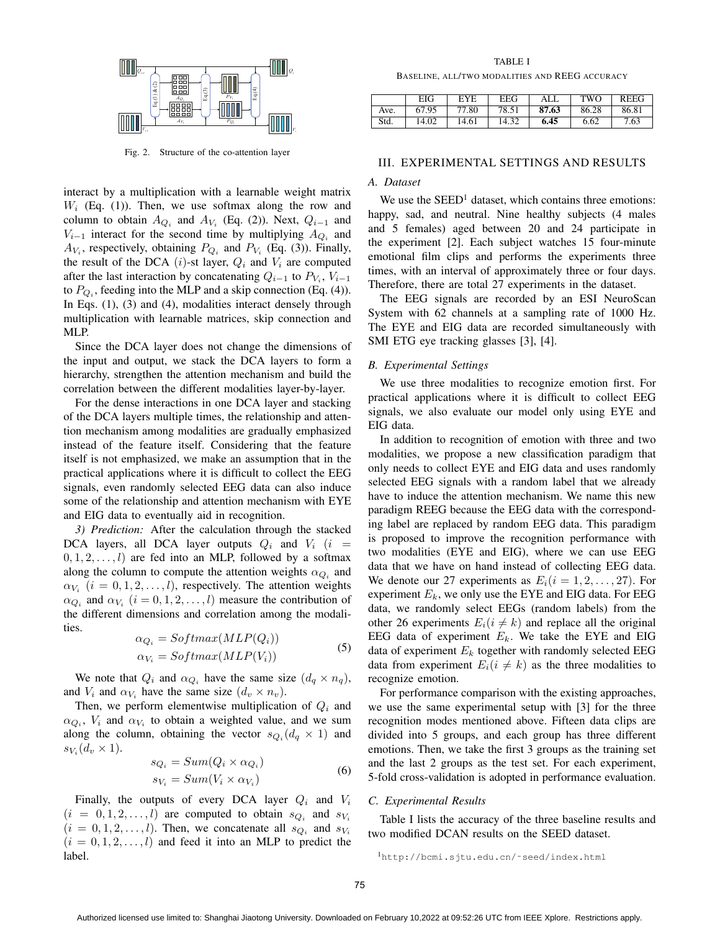

Fig. 2. Structure of the co-attention layer

interact by a multiplication with a learnable weight matrix  $W_i$  (Eq. (1)). Then, we use softmax along the row and column to obtain  $A_{Q_i}$  and  $A_{V_i}$  (Eq. (2)). Next,  $Q_{i-1}$  and  $V_{i-1}$  interact for the second time by multiplying  $A_{Q_i}$  and  $A_{V_i}$ , respectively, obtaining  $P_{Q_i}$  and  $P_{V_i}$  (Eq. (3)). Finally, the result of the DCA  $(i)$ -st layer,  $Q_i$  and  $V_i$  are computed after the last interaction by concatenating  $Q_{i-1}$  to  $P_{V_i}$ ,  $V_{i-1}$ to  $P_{Q_i}$ , feeding into the MLP and a skip connection (Eq. (4)). In Eqs. (1), (3) and (4), modalities interact densely through multiplication with learnable matrices, skip connection and MLP.

Since the DCA layer does not change the dimensions of the input and output, we stack the DCA layers to form a hierarchy, strengthen the attention mechanism and build the correlation between the different modalities layer-by-layer.

For the dense interactions in one DCA layer and stacking of the DCA layers multiple times, the relationship and attention mechanism among modalities are gradually emphasized instead of the feature itself. Considering that the feature itself is not emphasized, we make an assumption that in the practical applications where it is difficult to collect the EEG signals, even randomly selected EEG data can also induce some of the relationship and attention mechanism with EYE and EIG data to eventually aid in recognition.

*3) Prediction:* After the calculation through the stacked DCA layers, all DCA layer outputs  $Q_i$  and  $V_i$  (i =  $(0, 1, 2, \ldots, l)$  are fed into an MLP, followed by a softmax along the column to compute the attention weights  $\alpha_{Q_i}$  and  $\alpha_{V_i}$   $(i = 0, 1, 2, \dots, l)$ , respectively. The attention weights  $\alpha_{Q_i}$  and  $\alpha_{V_i}$   $(i = 0, 1, 2, \dots, l)$  measure the contribution of the different dimensions and correlation among the modalities.

$$
\alpha_{Q_i} = Softmax(MLP(Q_i))
$$
  
\n
$$
\alpha_{V_i} = Softmax(MLP(V_i))
$$
\n(5)

We note that  $Q_i$  and  $\alpha_{Q_i}$  have the same size  $(d_q \times n_q)$ , and  $V_i$  and  $\alpha_{V_i}$  have the same size  $(d_v \times n_v)$ .

Then, we perform elementwise multiplication of  $Q_i$  and  $\alpha_{Q_i}$ ,  $V_i$  and  $\alpha_{V_i}$  to obtain a weighted value, and we sum along the column, obtaining the vector  $s_{Q_i}(d_q \times 1)$  and  $s_{V_i}(d_v \times 1).$ 

$$
s_{Q_i} = Sum(Q_i \times \alpha_{Q_i})
$$
  
\n
$$
s_{V_i} = Sum(V_i \times \alpha_{V_i})
$$
\n(6)

Finally, the outputs of every DCA layer  $Q_i$  and  $V_i$  $(i = 0, 1, 2, \ldots, l)$  are computed to obtain  $s_{Q_i}$  and  $s_{V_i}$  $(i = 0, 1, 2, \ldots, l)$ . Then, we concatenate all  $s_{Q_i}$  and  $s_{V_i}$  $(i = 0, 1, 2, \ldots, l)$  and feed it into an MLP to predict the label.

TABLE I BASELINE, ALL/TWO MODALITIES AND REEG ACCURACY

|      | EIG   | EYE   | EEG   |       | TWO   | <b>REEG</b> |
|------|-------|-------|-------|-------|-------|-------------|
| Ave. | 67.95 | 77.80 | 78.51 | 87.63 | 86.28 | 86.81       |
| Std. | 14.02 | 14.61 | 14.32 | 6.45  | 6.62  | 7.63        |

#### III. EXPERIMENTAL SETTINGS AND RESULTS

## *A. Dataset*

We use the  $SEED<sup>1</sup>$  dataset, which contains three emotions: happy, sad, and neutral. Nine healthy subjects (4 males and 5 females) aged between 20 and 24 participate in the experiment [2]. Each subject watches 15 four-minute emotional film clips and performs the experiments three times, with an interval of approximately three or four days. Therefore, there are total 27 experiments in the dataset.

The EEG signals are recorded by an ESI NeuroScan System with 62 channels at a sampling rate of 1000 Hz. The EYE and EIG data are recorded simultaneously with SMI ETG eye tracking glasses [3], [4].

#### *B. Experimental Settings*

We use three modalities to recognize emotion first. For practical applications where it is difficult to collect EEG signals, we also evaluate our model only using EYE and EIG data.

In addition to recognition of emotion with three and two modalities, we propose a new classification paradigm that only needs to collect EYE and EIG data and uses randomly selected EEG signals with a random label that we already have to induce the attention mechanism. We name this new paradigm REEG because the EEG data with the corresponding label are replaced by random EEG data. This paradigm is proposed to improve the recognition performance with two modalities (EYE and EIG), where we can use EEG data that we have on hand instead of collecting EEG data. We denote our 27 experiments as  $E_i(i = 1, 2, \ldots, 27)$ . For experiment  $E_k$ , we only use the EYE and EIG data. For EEG data, we randomly select EEGs (random labels) from the other 26 experiments  $E_i(i \neq k)$  and replace all the original EEG data of experiment  $E_k$ . We take the EYE and EIG data of experiment  $E_k$  together with randomly selected EEG data from experiment  $E_i(i \neq k)$  as the three modalities to recognize emotion.

For performance comparison with the existing approaches, we use the same experimental setup with [3] for the three recognition modes mentioned above. Fifteen data clips are divided into 5 groups, and each group has three different emotions. Then, we take the first 3 groups as the training set and the last 2 groups as the test set. For each experiment, 5-fold cross-validation is adopted in performance evaluation.

## *C. Experimental Results*

Table I lists the accuracy of the three baseline results and two modified DCAN results on the SEED dataset.

<sup>1</sup>http://bcmi.sjtu.edu.cn/˜seed/index.html